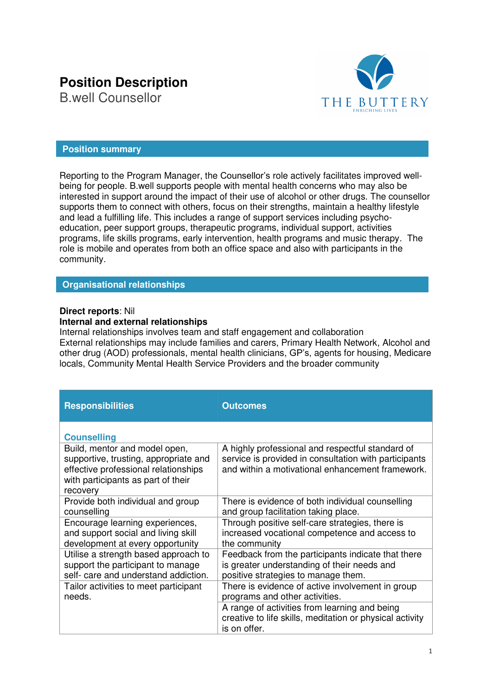# **Position Description**

B.well Counsellor



# **Position summary**

Reporting to the Program Manager, the Counsellor's role actively facilitates improved wellbeing for people. B.well supports people with mental health concerns who may also be interested in support around the impact of their use of alcohol or other drugs. The counsellor supports them to connect with others, focus on their strengths, maintain a healthy lifestyle and lead a fulfilling life. This includes a range of support services including psychoeducation, peer support groups, therapeutic programs, individual support, activities programs, life skills programs, early intervention, health programs and music therapy. The role is mobile and operates from both an office space and also with participants in the community.

## **Organisational relationships**

### **Direct reports**: Nil

## **Internal and external relationships**

Internal relationships involves team and staff engagement and collaboration External relationships may include families and carers, Primary Health Network, Alcohol and other drug (AOD) professionals, mental health clinicians, GP's, agents for housing, Medicare locals, Community Mental Health Service Providers and the broader community

| <b>Responsibilities</b>                                                                                                                                          | <b>Outcomes</b>                                                                                                                                               |
|------------------------------------------------------------------------------------------------------------------------------------------------------------------|---------------------------------------------------------------------------------------------------------------------------------------------------------------|
| <b>Counselling</b>                                                                                                                                               |                                                                                                                                                               |
| Build, mentor and model open,<br>supportive, trusting, appropriate and<br>effective professional relationships<br>with participants as part of their<br>recovery | A highly professional and respectful standard of<br>service is provided in consultation with participants<br>and within a motivational enhancement framework. |
| Provide both individual and group                                                                                                                                | There is evidence of both individual counselling                                                                                                              |
| counselling                                                                                                                                                      | and group facilitation taking place.                                                                                                                          |
| Encourage learning experiences,                                                                                                                                  | Through positive self-care strategies, there is                                                                                                               |
| and support social and living skill                                                                                                                              | increased vocational competence and access to                                                                                                                 |
| development at every opportunity                                                                                                                                 | the community                                                                                                                                                 |
| Utilise a strength based approach to                                                                                                                             | Feedback from the participants indicate that there                                                                                                            |
| support the participant to manage                                                                                                                                | is greater understanding of their needs and                                                                                                                   |
| self- care and understand addiction.                                                                                                                             | positive strategies to manage them.                                                                                                                           |
| Tailor activities to meet participant                                                                                                                            | There is evidence of active involvement in group                                                                                                              |
| needs.                                                                                                                                                           | programs and other activities.                                                                                                                                |
|                                                                                                                                                                  | A range of activities from learning and being<br>creative to life skills, meditation or physical activity<br>is on offer.                                     |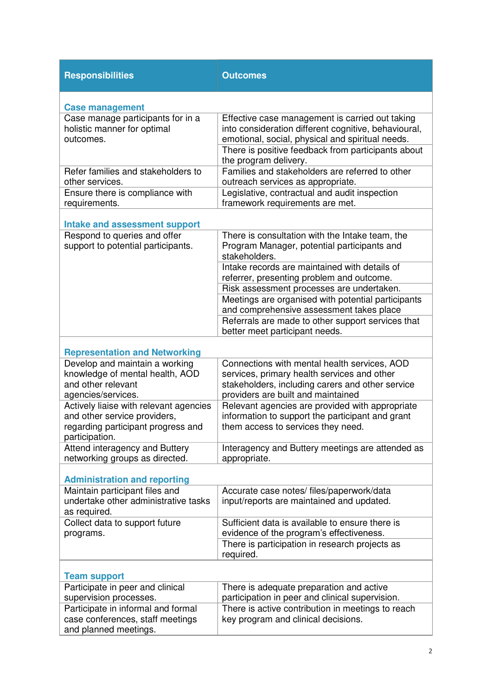| <b>Responsibilities</b>                                                                                                        | <b>Outcomes</b>                                                                                                                                                                       |
|--------------------------------------------------------------------------------------------------------------------------------|---------------------------------------------------------------------------------------------------------------------------------------------------------------------------------------|
| <b>Case management</b>                                                                                                         |                                                                                                                                                                                       |
| Case manage participants for in a<br>holistic manner for optimal<br>outcomes.                                                  | Effective case management is carried out taking<br>into consideration different cognitive, behavioural,<br>emotional, social, physical and spiritual needs.                           |
|                                                                                                                                | There is positive feedback from participants about<br>the program delivery.                                                                                                           |
| Refer families and stakeholders to<br>other services.                                                                          | Families and stakeholders are referred to other<br>outreach services as appropriate.                                                                                                  |
| Ensure there is compliance with<br>requirements.                                                                               | Legislative, contractual and audit inspection<br>framework requirements are met.                                                                                                      |
| <b>Intake and assessment support</b>                                                                                           |                                                                                                                                                                                       |
| Respond to queries and offer<br>support to potential participants.                                                             | There is consultation with the Intake team, the<br>Program Manager, potential participants and<br>stakeholders.                                                                       |
|                                                                                                                                | Intake records are maintained with details of<br>referrer, presenting problem and outcome.                                                                                            |
|                                                                                                                                | Risk assessment processes are undertaken.                                                                                                                                             |
|                                                                                                                                | Meetings are organised with potential participants<br>and comprehensive assessment takes place                                                                                        |
|                                                                                                                                | Referrals are made to other support services that<br>better meet participant needs.                                                                                                   |
|                                                                                                                                |                                                                                                                                                                                       |
| <b>Representation and Networking</b>                                                                                           |                                                                                                                                                                                       |
| Develop and maintain a working<br>knowledge of mental health, AOD<br>and other relevant<br>agencies/services.                  | Connections with mental health services, AOD<br>services, primary health services and other<br>stakeholders, including carers and other service<br>providers are built and maintained |
| Actively liaise with relevant agencies<br>and other service providers,<br>regarding participant progress and<br>participation. | Relevant agencies are provided with appropriate<br>information to support the participant and grant<br>them access to services they need.                                             |
| Attend interagency and Buttery<br>networking groups as directed.                                                               | Interagency and Buttery meetings are attended as<br>appropriate.                                                                                                                      |
| <b>Administration and reporting</b>                                                                                            |                                                                                                                                                                                       |
| Maintain participant files and<br>undertake other administrative tasks<br>as required.                                         | Accurate case notes/ files/paperwork/data<br>input/reports are maintained and updated.                                                                                                |
| Collect data to support future<br>programs.                                                                                    | Sufficient data is available to ensure there is<br>evidence of the program's effectiveness.                                                                                           |
|                                                                                                                                | There is participation in research projects as<br>required.                                                                                                                           |
| <b>Team support</b>                                                                                                            |                                                                                                                                                                                       |
| Participate in peer and clinical<br>supervision processes.                                                                     | There is adequate preparation and active<br>participation in peer and clinical supervision.                                                                                           |
| Participate in informal and formal<br>case conferences, staff meetings<br>and planned meetings.                                | There is active contribution in meetings to reach<br>key program and clinical decisions.                                                                                              |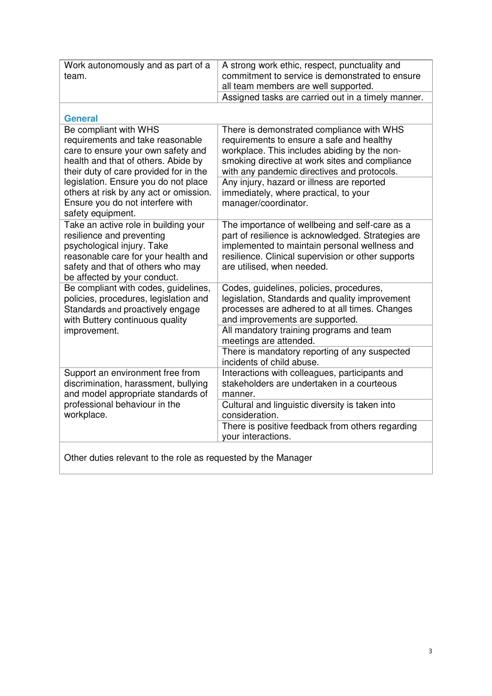| Work autonomously and as part of a<br>team.                                                                                                                                                                 | A strong work ethic, respect, punctuality and<br>commitment to service is demonstrated to ensure<br>all team members are well supported.                                                                                                  |  |
|-------------------------------------------------------------------------------------------------------------------------------------------------------------------------------------------------------------|-------------------------------------------------------------------------------------------------------------------------------------------------------------------------------------------------------------------------------------------|--|
|                                                                                                                                                                                                             | Assigned tasks are carried out in a timely manner.                                                                                                                                                                                        |  |
| <b>General</b>                                                                                                                                                                                              |                                                                                                                                                                                                                                           |  |
| Be compliant with WHS<br>requirements and take reasonable<br>care to ensure your own safety and<br>health and that of others. Abide by<br>their duty of care provided for in the                            | There is demonstrated compliance with WHS<br>requirements to ensure a safe and healthy<br>workplace. This includes abiding by the non-<br>smoking directive at work sites and compliance<br>with any pandemic directives and protocols.   |  |
| legislation. Ensure you do not place<br>others at risk by any act or omission.<br>Ensure you do not interfere with<br>safety equipment.                                                                     | Any injury, hazard or illness are reported<br>immediately, where practical, to your<br>manager/coordinator.                                                                                                                               |  |
| Take an active role in building your<br>resilience and preventing<br>psychological injury. Take<br>reasonable care for your health and<br>safety and that of others who may<br>be affected by your conduct. | The importance of wellbeing and self-care as a<br>part of resilience is acknowledged. Strategies are<br>implemented to maintain personal wellness and<br>resilience. Clinical supervision or other supports<br>are utilised, when needed. |  |
| Be compliant with codes, guidelines,<br>policies, procedures, legislation and<br>Standards and proactively engage<br>with Buttery continuous quality<br>improvement.                                        | Codes, guidelines, policies, procedures,<br>legislation, Standards and quality improvement<br>processes are adhered to at all times. Changes<br>and improvements are supported.                                                           |  |
|                                                                                                                                                                                                             | All mandatory training programs and team<br>meetings are attended.                                                                                                                                                                        |  |
|                                                                                                                                                                                                             | There is mandatory reporting of any suspected<br>incidents of child abuse.                                                                                                                                                                |  |
| Support an environment free from<br>discrimination, harassment, bullying<br>and model appropriate standards of<br>professional behaviour in the<br>workplace.                                               | Interactions with colleagues, participants and<br>stakeholders are undertaken in a courteous<br>manner.                                                                                                                                   |  |
|                                                                                                                                                                                                             | Cultural and linguistic diversity is taken into<br>consideration.                                                                                                                                                                         |  |
|                                                                                                                                                                                                             | There is positive feedback from others regarding<br>your interactions.                                                                                                                                                                    |  |
| Other duties relevant to the role as requested by the Manager                                                                                                                                               |                                                                                                                                                                                                                                           |  |